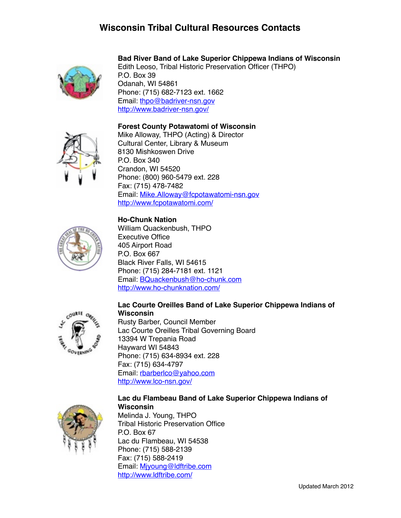# **Wisconsin Tribal Cultural Resources Contacts**



# **Bad River Band of Lake Superior Chippewa Indians of Wisconsin**

Edith Leoso, Tribal Historic Preservation Officer (THPO) P.O. Box 39 Odanah, WI 54861 Phone: (715) 682-7123 ext. 1662 Email: [thpo@badriver-nsn.gov](mailto:thpo@badriver-nsn.gov) <http://www.badriver-nsn.gov/>

### **Forest County Potawatomi of Wisconsin**



Mike Alloway, THPO (Acting) & Director Cultural Center, Library & Museum 8130 Mishkoswen Drive P.O. Box 340 Crandon, WI 54520 Phone: (800) 960-5479 ext. 228 Fax: (715) 478-7482 Email: [Mike.Alloway@fcpotawatomi-nsn.gov](mailto:Mike.Alloway@fcpotawatomi-nsn.gov) <http://www.fcpotawatomi.com/>

### **Ho-Chunk Nation**



William Quackenbush, THPO Executive Office 405 Airport Road P.O. Box 667 Black River Falls, WI 54615 Phone: (715) 284-7181 ext. 1121 Email: [BQuackenbush@ho-chunk.com](mailto:BQuackenbush@ho-chunk.com) <http://www.ho-chunknation.com/>

#### **Lac Courte Oreilles Band of Lake Superior Chippewa Indians of Wisconsin**

Rusty Barber, Council Member Lac Courte Oreilles Tribal Governing Board 13394 W Trepania Road Hayward WI 54843 Phone: (715) 634-8934 ext. 228 Fax: (715) 634-4797 Email: [rbarberlco@yahoo.com](mailto:rbarberlco@yahoo.com) <http://www.lco-nsn.gov/>



### **Lac du Flambeau Band of Lake Superior Chippewa Indians of Wisconsin**

Melinda J. Young, THPO Tribal Historic Preservation Office P.O. Box 67 Lac du Flambeau, WI 54538 Phone: (715) 588-2139 Fax: (715) 588-2419 Email: [Mjyoung@ldftribe.com](mailto:Mjyoung@ldftribe.com) <http://www.ldftribe.com/>